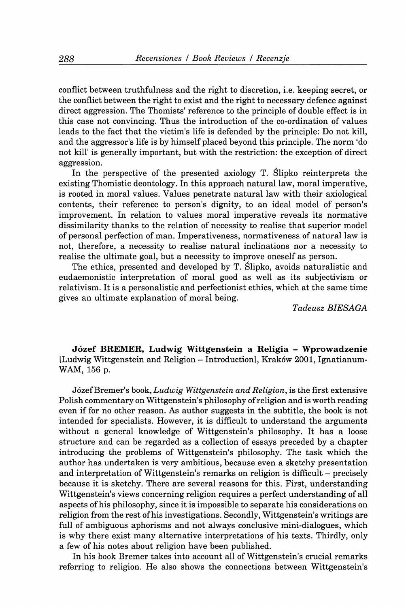**conflict between truthfulness and the right to discretion, i.e. keeping secret, or the conflict between the right to exist and the right to necessary defence against direct aggression. The Thomists' reference to the principle of double effect is in this case not convincing. Thus the introduction of the co-ordination of values leads to the fact that the victim's life is defended by the principle: Do not kill, and the aggressor's life is by himself placed beyond this principle. The norm 'do not kill' is generally important, but with the restriction: the exception of direct aggression.** 

**In the perspective of the presented axiology T. Slipko reinterprets the existing Thomistic deontology. In this approach natural law, moral imperative, is rooted in moral values. Values penetrate natural law with their axiological contents, their reference to person's dignity, to an ideal model of person's improvement. In relation to values moral imperative reveals its normative dissimilarity thanks to the relation of necessity to realise that superior model of personal perfection of man. Imperativeness, normativeness of natural law is not, therefore, a necessity to realise natural inclinations nor a necessity to realise the ultimate goal, but a necessity to improve oneself as person.** 

**The ethics, presented and developed by T. Slipko, avoids naturalistic and eudaemonistic interpretation of moral good as well as its subjectivism or relativism. It is a personalistic and perfectionist ethics, which at the same time gives an ultimate explanation of moral being.** 

*Tadeusz BIESAGA* 

**Jözef BREMER, Ludwig Wittgenstein a Religia - Wprowadzenie [Ludwig Wittgenstein and Religion - Introduction], Krakow 2001, Ignatianum-WAM, 156 p.** 

**Jözef Bremer's book,** *Ludwig Wittgenstein and Religion,* **is the first extensive Polish commentary on Wittgenstein's philosophy of religion and is worth reading even if for no other reason. As author suggests in the subtitle, the book is not intended for specialists. However, it is difficult to understand the arguments without a general knowledge of Wittgenstein's philosophy. It has a loose structure and can be regarded as a collection of essays preceded by a chapter introducing the problems of Wittgenstein's philosophy. The task which the author has undertaken is very ambitious, because even a sketchy presentation and interpretation of Wittgenstein's remarks on religion is difficult - precisely because it is sketchy. There are several reasons for this. First, understanding Wittgenstein's views concerning religion requires a perfect understanding of all aspects of his philosophy, since it is impossible to separate his considerations on religion from the rest of his investigations. Secondly, Wittgenstein's writings are full of ambiguous aphorisms and not always conclusive mini-dialogues, which is why there exist many alternative interpretations of his texts. Thirdly, only a few of his notes about religion have been published.** 

**In his book Bremer takes into account all of Wittgenstein's crucial remarks referring to religion. He also shows the connections between Wittgenstein's**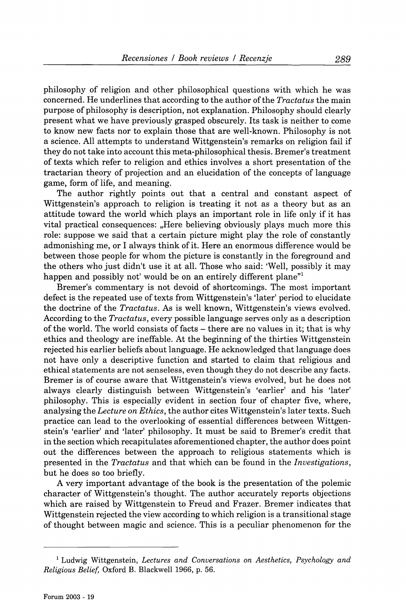**philosophy of religion and other philosophical questions with which he was concerned. He underlines that according to the author of the** *Tractatus* **the main purpose of philosophy is description, not explanation. Philosophy should clearly present what we have previously grasped obscurely. Its task is neither to come to know new facts nor to explain those that are well-known. Philosophy is not a science. All attempts to understand Wittgenstein's remarks on religion fail if they do not take into account this meta-philosophical thesis. Bremer's treatment of texts which refer to religion and ethics involves a short presentation of the tractarian theory of projection and an elucidation of the concepts of language game, form of life, and meaning.** 

**The author rightly points out that a central and constant aspect of Wittgenstein's approach to religion is treating it not as a theory but as an attitude toward the world which plays an important role in life only if it has vital practical consequences: "Here believing obviously plays much more this role: suppose we said that a certain picture might play the role of constantly admonishing me, or I always think of it. Here an enormous difference would be between those people for whom the picture is constantly in the foreground and the others who just didn't use it at all. Those who said: 'Well, possibly it may**  happen and possibly not' would be on an entirely different plane<sup>"1</sup>

**Bremer's commentary is not devoid of shortcomings. The most important defect is the repeated use of texts from Wittgenstein's 'later' period to elucidate the doctrine of the** *Tractatus.* **As is well known, Wittgenstein's views evolved. According to the** *Tractatus,* **every possible language serves only as a description of the world. The world consists of facts - there are no values in it; that is why ethics and theology are ineffable. At the beginning of the thirties Wittgenstein rejected his earlier beliefs about language. He acknowledged that language does not have only a descriptive function and started to claim that religious and ethical statements are not senseless, even though they do not describe any facts. Bremer is of course aware that Wittgenstein's views evolved, but he does not always clearly distinguish between Wittgenstein's 'earlier' and his 'later' philosophy. This is especially evident in section four of chapter five, where, analysing the** *Lecture on Ethics,* **the author cites Wittgenstein's later texts. Such practice can lead to the overlooking of essential differences between Wittgenstein's 'earlier' and 'later' philosophy. It must be said to Bremer's credit that in the section which recapitulates aforementioned chapter, the author does point out the differences between the approach to religious statements which is presented in the** *Tractatus* **and that which can be found in the** *Investigations,*  **but he does so too briefly.** 

**A very important advantage of the book is the presentation of the polemic character of Wittgenstein's thought. The author accurately reports objections which are raised by Wittgenstein to Freud and Frazer. Bremer indicates that Wittgenstein rejected the view according to which religion is a transitional stage of thought between magic and science. This is a peculiar phenomenon for the** 

**<sup>^</sup> Ludwig Wittgenstein,** *Lectures and Conversations on Aesthetics, Psychology and Religious Belief,* **Oxford B. Blackwell 1966, p. 56.**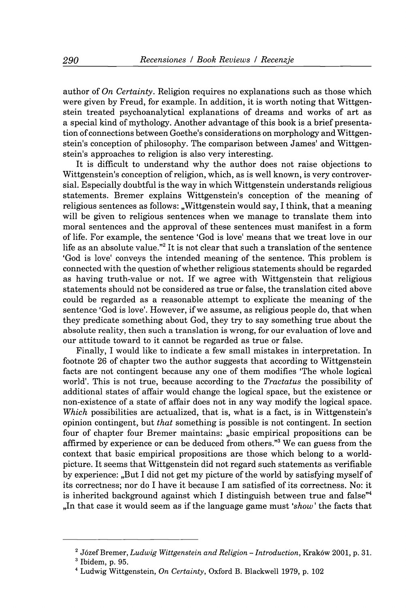**author** *oiOn Certainty,* **Religion requires no explanations such as those which were given by Freud, for example. In addition, it is worth noting that Wittgenstein treated psychoanalytical explanations of dreams and works of art as a special kind of mythology. Another advantage of this book is a brief presentation of connections between Goethe's considerations on morphology and Wittgenstein's conception of philosophy. The comparison between James' and Wittgenstein's approaches to religion is also very interesting.** 

**It is difficult to understand why the author does not raise objections to Wittgenstein's conception of religion, which, as is well known, is very controversial. Especially doubtful is the way in which Wittgenstein understands religious statements. Bremer explains Wittgenstein's conception of the meaning of**  religious sentences as follows: "Wittgenstein would say, I think, that a meaning **will be given to religious sentences when we manage to translate them into moral sentences and the approval of these sentences must manifest in a form of life. For example, the sentence 'God is love' means that we treat love in our**  life as an absolute value."<sup>2</sup> It is not clear that such a translation of the sentence **'God is love' conveys the intended meaning of the sentence. This problem is connected with the question of whether religious statements should be regarded as having truth-value or not. If we agree with Wittgenstein that religious statements should not be considered as true or false, the translation cited above could be regarded as a reasonable attempt to explicate the meaning of the sentence 'God is love'. However, if we assume, as religious people do, that when they predicate something about God, they try to say something true about the absolute reality, then such a translation is wrong, for our evaluation of love and our attitude toward to it cannot be regarded as true or false.** 

**Finally, I would like to indicate a few small mistakes in interpretation. In footnote 26 of chapter two the author suggests that according to Wittgenstein facts are not contingent because any one of them modifies 'The whole logical world'. This is not true, because according to the** *Tractatus* **the possibility of additional states of affair would change the logical space, but the existence or non-existence of a state of affair does not in any way modify the logical space.**  *Which* **possibilities are actualized, that is, what is a fact, is in Wittgenstein's opinion contingent, but** *that* **something is possible is not contingent. In section four of chapter four Bremer maintains: "basic empirical propositions can be affirmed by experience or can be deduced from others."^ We can guess from the context that basic empirical propositions are those which belong to a worldpicture. It seems that Wittgenstein did not regard such statements as verifiable by experience: "But I did not get my picture of the world by satisfying myself of its correctness; nor do I have it because I am satisfied of its correctness. No: it**  is inherited background against which I distinguish between true and false<sup>"4</sup> **"In that case it would seem as if the language game must** *'show***' the facts that** 

**<sup>^</sup> Jözef Bremer,** *Ludwig Wittgenstein and Religion - Introduction,* **Krakow 2001, p. 31.** 

**<sup>^</sup> Ibidem, p. 95.** 

**<sup>^</sup> Ludwig Wittgenstein,** *On Certainty,* **Oxford B. Blackwell 1979, p. 102**